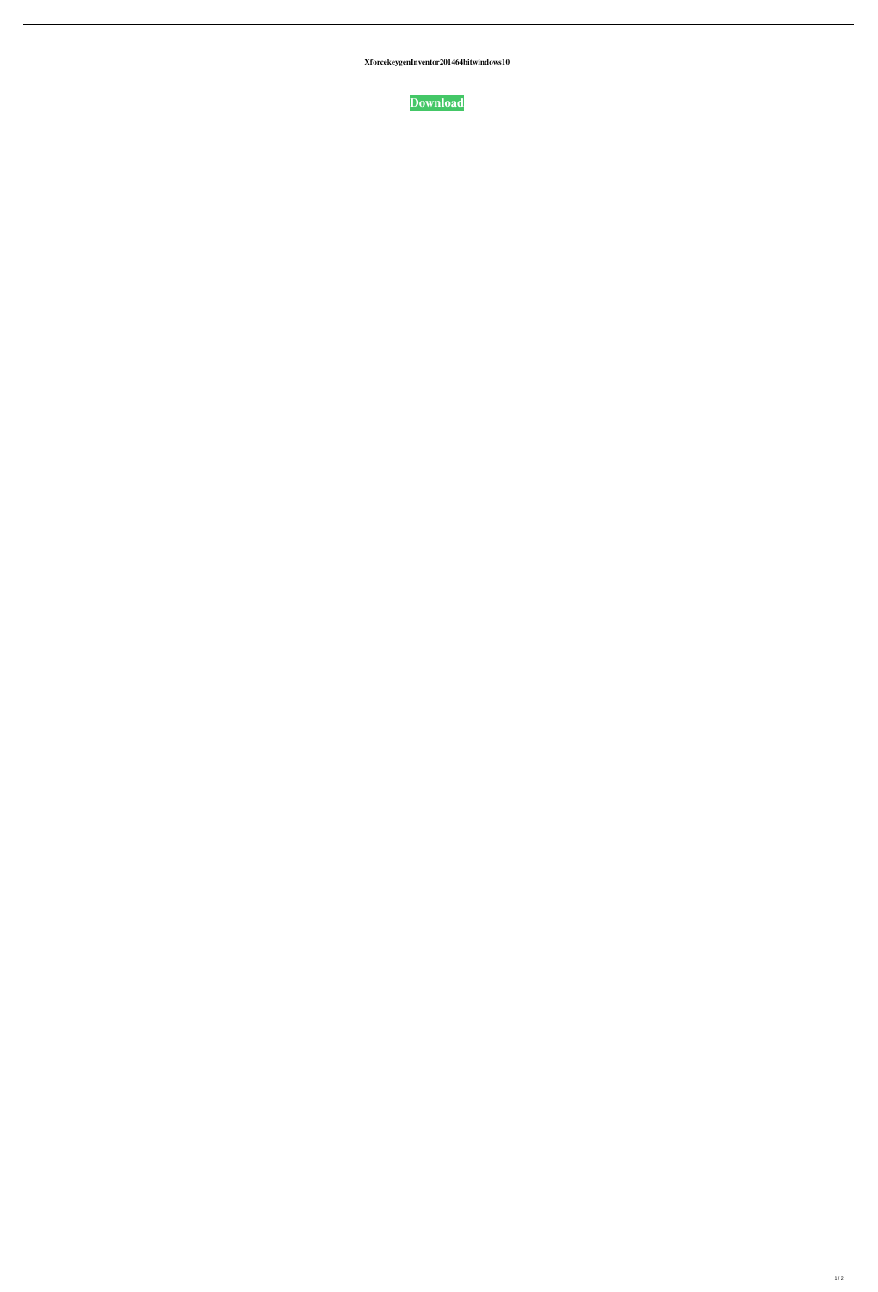**XforcekeygenInventor201464bitwindows10**